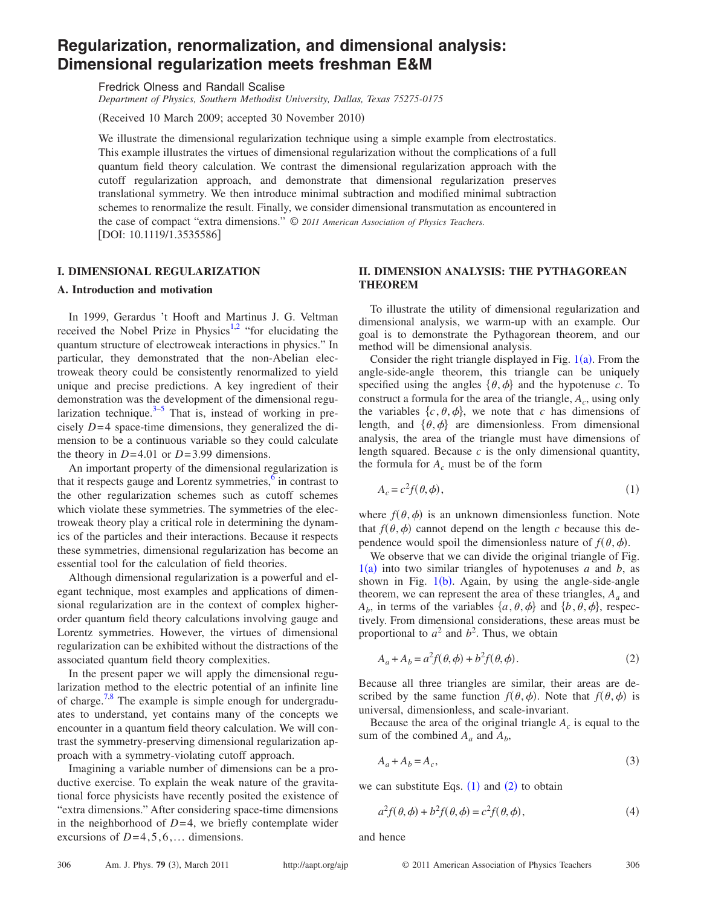# **Regularization, renormalization, and dimensional analysis: Dimensional regularization meets freshman E&M**

Fredrick Olness and Randall Scalise

*Department of Physics, Southern Methodist University, Dallas, Texas 75275-0175*

(Received 10 March 2009; accepted 30 November 2010)

We illustrate the dimensional regularization technique using a simple example from electrostatics. This example illustrates the virtues of dimensional regularization without the complications of a full quantum field theory calculation. We contrast the dimensional regularization approach with the cutoff regularization approach, and demonstrate that dimensional regularization preserves translational symmetry. We then introduce minimal subtraction and modified minimal subtraction schemes to renormalize the result. Finally, we consider dimensional transmutation as encountered in the case of compact "extra dimensions." © *2011 American Association of Physics Teachers.* [DOI: 10.1119/1.3535586]

# **I. DIMENSIONAL REGULARIZATION**

## **A. Introduction and motivation**

In 1999, Gerardus 't Hooft and Martinus J. G. Veltman received the Nobel Prize in Physics<sup>1,[2](#page-5-1)</sup> "for elucidating the quantum structure of electroweak interactions in physics." In particular, they demonstrated that the non-Abelian electroweak theory could be consistently renormalized to yield unique and precise predictions. A key ingredient of their demonstration was the development of the dimensional regularization technique. $3-5$  That is, instead of working in precisely  $D=4$  space-time dimensions, they generalized the dimension to be a continuous variable so they could calculate the theory in  $D=4.01$  or  $D=3.99$  dimensions.

An important property of the dimensional regularization is that it respects gauge and Lorentz symmetries, $6$  in contrast to the other regularization schemes such as cutoff schemes which violate these symmetries. The symmetries of the electroweak theory play a critical role in determining the dynamics of the particles and their interactions. Because it respects these symmetries, dimensional regularization has become an essential tool for the calculation of field theories.

Although dimensional regularization is a powerful and elegant technique, most examples and applications of dimensional regularization are in the context of complex higherorder quantum field theory calculations involving gauge and Lorentz symmetries. However, the virtues of dimensional regularization can be exhibited without the distractions of the associated quantum field theory complexities.

In the present paper we will apply the dimensional regularization method to the electric potential of an infinite line of charge.<sup>7[,8](#page-5-6)</sup> The example is simple enough for undergraduates to understand, yet contains many of the concepts we encounter in a quantum field theory calculation. We will contrast the symmetry-preserving dimensional regularization approach with a symmetry-violating cutoff approach.

Imagining a variable number of dimensions can be a productive exercise. To explain the weak nature of the gravitational force physicists have recently posited the existence of "extra dimensions." After considering space-time dimensions in the neighborhood of  $D=4$ , we briefly contemplate wider excursions of  $D=4,5,6,...$  dimensions.

# **II. DIMENSION ANALYSIS: THE PYTHAGOREAN THEOREM**

To illustrate the utility of dimensional regularization and dimensional analysis, we warm-up with an example. Our goal is to demonstrate the Pythagorean theorem, and our method will be dimensional analysis.

Consider the right triangle displayed in Fig.  $1(a)$  $1(a)$ . From the angle-side-angle theorem, this triangle can be uniquely specified using the angles  $\{\theta, \phi\}$  and the hypotenuse *c*. To construct a formula for the area of the triangle,  $A_c$ , using only the variables  $\{c, \theta, \phi\}$ , we note that *c* has dimensions of length, and  $\{\theta, \phi\}$  are dimensionless. From dimensional analysis, the area of the triangle must have dimensions of length squared. Because *c* is the only dimensional quantity, the formula for  $A_c$  must be of the form

<span id="page-0-0"></span>
$$
A_c = c^2 f(\theta, \phi), \tag{1}
$$

where  $f(\theta, \phi)$  is an unknown dimensionless function. Note that  $f(\theta, \phi)$  cannot depend on the length *c* because this dependence would spoil the dimensionless nature of  $f(\theta, \phi)$ .

We observe that we can divide the original triangle of Fig.  $1(a)$  $1(a)$  into two similar triangles of hypotenuses *a* and *b*, as shown in Fig.  $1(b)$  $1(b)$ . Again, by using the angle-side-angle theorem, we can represent the area of these triangles,  $A_a$  and  $A_b$ , in terms of the variables  $\{a, \theta, \phi\}$  and  $\{b, \theta, \phi\}$ , respectively. From dimensional considerations, these areas must be proportional to  $a^2$  and  $b^2$ . Thus, we obtain

<span id="page-0-1"></span>
$$
A_a + A_b = a^2 f(\theta, \phi) + b^2 f(\theta, \phi).
$$
 (2)

Because all three triangles are similar, their areas are described by the same function  $f(\theta, \phi)$ . Note that  $f(\theta, \phi)$  is universal, dimensionless, and scale-invariant.

Because the area of the original triangle  $A_c$  is equal to the sum of the combined  $A_a$  and  $A_b$ ,

$$
A_a + A_b = A_c,\tag{3}
$$

we can substitute Eqs.  $(1)$  $(1)$  $(1)$  and  $(2)$  $(2)$  $(2)$  to obtain

$$
a^2 f(\theta, \phi) + b^2 f(\theta, \phi) = c^2 f(\theta, \phi), \qquad (4)
$$

and hence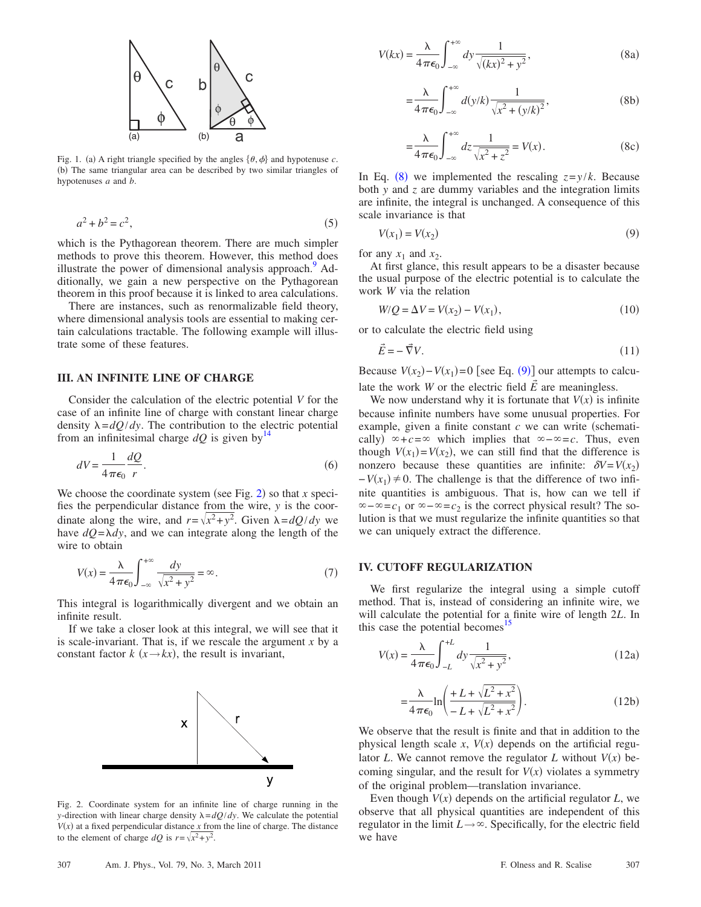<span id="page-1-0"></span>

Fig. 1. (a) A right triangle specified by the angles  $\{\theta, \phi\}$  and hypotenuse *c*. (b) The same triangular area can be described by two similar triangles of hypotenuses *a* and *b*.

$$
a^2 + b^2 = c^2,
$$
 (5)

which is the Pythagorean theorem. There are much simpler methods to prove this theorem. However, this method does illustrate the power of dimensional analysis approach.<sup>9</sup> Additionally, we gain a new perspective on the Pythagorean theorem in this proof because it is linked to area calculations.

There are instances, such as renormalizable field theory, where dimensional analysis tools are essential to making certain calculations tractable. The following example will illustrate some of these features.

# **III. AN INFINITE LINE OF CHARGE**

Consider the calculation of the electric potential *V* for the case of an infinite line of charge with constant linear charge density  $\lambda = dQ/dy$ . The contribution to the electric potential from an infinitesimal charge  $dQ$  is given by<sup>[14](#page-5-8)</sup>

$$
dV = \frac{1}{4\pi\epsilon_0} \frac{dQ}{r}.
$$
\n<sup>(6)</sup>

We choose the coordinate system (see Fig. [2](#page-1-1)) so that  $x$  specifies the perpendicular distance from the wire, *y* is the coordinate along the wire, and  $r = \sqrt{x^2 + y^2}$ . Given  $\lambda = dQ/dy$  we have  $dQ = \lambda dy$ , and we can integrate along the length of the wire to obtain

<span id="page-1-4"></span>
$$
V(x) = \frac{\lambda}{4\pi\epsilon_0} \int_{-\infty}^{+\infty} \frac{dy}{\sqrt{x^2 + y^2}} = \infty.
$$
 (7)

This integral is logarithmically divergent and we obtain an infinite result.

If we take a closer look at this integral, we will see that it is scale-invariant. That is, if we rescale the argument *x* by a constant factor  $k$  ( $x \rightarrow kx$ ), the result is invariant,

<span id="page-1-1"></span>

Fig. 2. Coordinate system for an infinite line of charge running in the *y*-direction with linear charge density  $\lambda = dQ/dy$ . We calculate the potential  $V(x)$  at a fixed perpendicular distance  $x$  from the line of charge. The distance to the element of charge  $dQ$  is  $r = \sqrt{x^2 + y^2}$ .

<span id="page-1-2"></span>
$$
V(kx) = \frac{\lambda}{4\pi\epsilon_0} \int_{-\infty}^{+\infty} dy \frac{1}{\sqrt{(kx)^2 + y^2}},
$$
 (8a)

$$
=\frac{\lambda}{4\pi\epsilon_0}\int_{-\infty}^{+\infty}d(y/k)\frac{1}{\sqrt{x^2+(y/k)^2}},\tag{8b}
$$

$$
=\frac{\lambda}{4\pi\epsilon_0}\int_{-\infty}^{+\infty} dz \frac{1}{\sqrt{x^2+z^2}} = V(x). \tag{8c}
$$

In Eq. ([8](#page-1-2)) we implemented the rescaling  $z = y/k$ . Because both *y* and *z* are dummy variables and the integration limits are infinite, the integral is unchanged. A consequence of this scale invariance is that

$$
V(x_1) = V(x_2) \tag{9}
$$

<span id="page-1-3"></span>for any  $x_1$  and  $x_2$ .

At first glance, this result appears to be a disaster because the usual purpose of the electric potential is to calculate the work *W* via the relation

$$
W/Q = \Delta V = V(x_2) - V(x_1),
$$
\n(10)

or to calculate the electric field using

$$
\vec{E} = -\vec{\nabla}V.\tag{11}
$$

Because  $V(x_2) - V(x_1) = 0$  [see Eq. ([9](#page-1-3))] our attempts to calculate the work *W* or the electric field  $\vec{E}$  are meaningless.

We now understand why it is fortunate that  $V(x)$  is infinite because infinite numbers have some unusual properties. For example, given a finite constant  $c$  we can write (schematically)  $\Leftrightarrow$  +*c*= $\infty$  which implies that  $\infty - \infty = c$ . Thus, even though  $V(x_1) = V(x_2)$ , we can still find that the difference is nonzero because these quantities are infinite:  $\delta V = V(x_2)$  $-V(x_1) \neq 0$ . The challenge is that the difference of two infinite quantities is ambiguous. That is, how can we tell if  $\infty - \infty = c_1$  or  $\infty - \infty = c_2$  is the correct physical result? The solution is that we must regularize the infinite quantities so that we can uniquely extract the difference.

## **IV. CUTOFF REGULARIZATION**

We first regularize the integral using a simple cutoff method. That is, instead of considering an infinite wire, we will calculate the potential for a finite wire of length 2*L*. In this case the potential becomes<sup>1</sup>

$$
V(x) = \frac{\lambda}{4\pi\epsilon_0} \int_{-L}^{+L} dy \frac{1}{\sqrt{x^2 + y^2}},
$$
\n(12a)

$$
=\frac{\lambda}{4\pi\epsilon_0}\ln\left(\frac{+L+\sqrt{L^2+x^2}}{-L+\sqrt{L^2+x^2}}\right).
$$
 (12b)

We observe that the result is finite and that in addition to the physical length scale  $x$ ,  $V(x)$  depends on the artificial regulator *L*. We cannot remove the regulator *L* without  $V(x)$  becoming singular, and the result for  $V(x)$  violates a symmetry of the original problem—translation invariance.

Even though  $V(x)$  depends on the artificial regulator  $L$ , we observe that all physical quantities are independent of this regulator in the limit  $L \rightarrow \infty$ . Specifically, for the electric field we have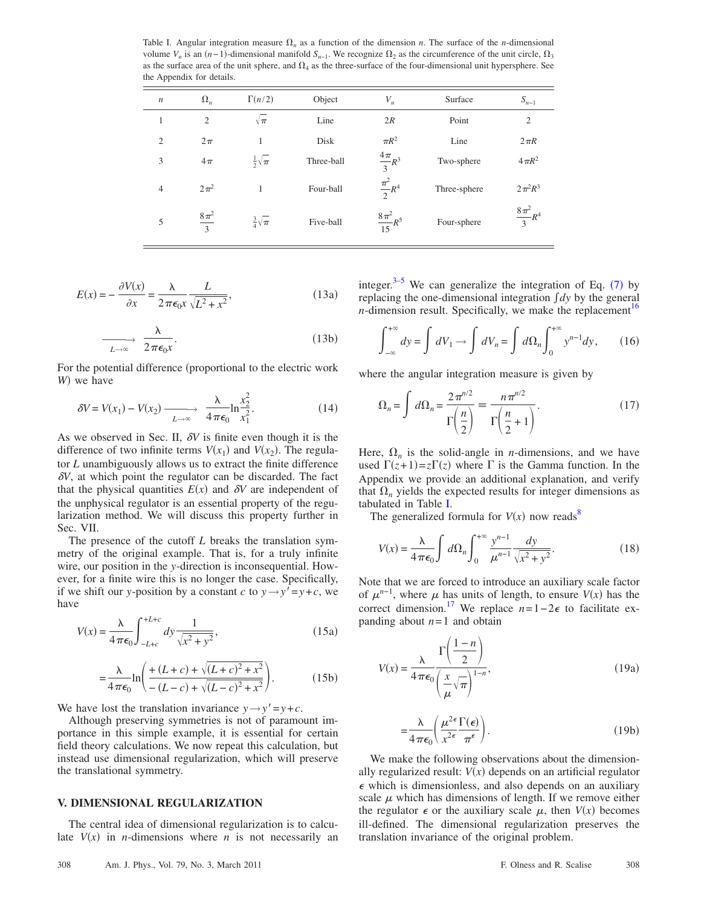<span id="page-2-0"></span>Table I. Angular integration measure  $\Omega_n$  as a function of the dimension *n*. The surface of the *n*-dimensional volume  $V_n$  is an  $(n-1)$ -dimensional manifold  $S_{n-1}$ . We recognize  $\Omega_2$  as the circumference of the unit circle,  $\Omega_3$ as the surface area of the unit sphere, and  $\Omega_4$  as the three-surface of the four-dimensional unit hypersphere. See the Appendix for details.

| $\sqrt{n}$     | $\Omega_n$         | $\Gamma(n/2)$         | Object     | $V_n$                  | Surface      | $S_{n-1}$             |
|----------------|--------------------|-----------------------|------------|------------------------|--------------|-----------------------|
| $\mathbf{1}$   | 2                  | $\sqrt{\pi}$          | Line       | 2R                     | Point        | $\overline{2}$        |
| $\overline{c}$ | $2\pi$             |                       | Disk       | $\pi R^2$              | Line         | $2\pi R$              |
| 3              | $4\pi$             | $rac{1}{2}\sqrt{\pi}$ | Three-ball | $rac{4\pi}{3}R^3$      | Two-sphere   | $4\pi R^2$            |
| $\overline{4}$ | $2\pi^2$           |                       | Four-ball  | $\frac{\pi^2}{2}R^4$   | Three-sphere | $2\pi^2R^3$           |
| 5              | $\frac{8\pi^2}{3}$ | $rac{3}{4}\sqrt{\pi}$ | Five-ball  | $\frac{8\pi^2}{15}R^5$ | Four-sphere  | $\frac{8\pi^2}{3}R^4$ |

$$
E(x) = -\frac{\partial V(x)}{\partial x} = \frac{\lambda}{2\pi\epsilon_0 x} \frac{L}{\sqrt{L^2 + x^2}},
$$
\n(13a)

$$
\frac{\lambda}{L \to \infty} \frac{2\pi\epsilon_0 x}.
$$
 (13b)

For the potential difference (proportional to the electric work W) we have

$$
\delta V = V(x_1) - V(x_2) \xrightarrow[L \to \infty]{} \frac{\lambda}{4\pi\epsilon_0} \ln \frac{x_2^2}{x_1^2}.
$$
 (14)

As we observed in Sec. II,  $\delta V$  is finite even though it is the difference of two infinite terms  $V(x_1)$  and  $V(x_2)$ . The regulator *L* unambiguously allows us to extract the finite difference  $\delta V$ , at which point the regulator can be discarded. The fact that the physical quantities  $E(x)$  and  $\delta V$  are independent of the unphysical regulator is an essential property of the regularization method. We will discuss this property further in Sec. VII.

The presence of the cutoff *L* breaks the translation symmetry of the original example. That is, for a truly infinite wire, our position in the *y*-direction is inconsequential. However, for a finite wire this is no longer the case. Specifically, if we shift our *y*-position by a constant *c* to  $y \rightarrow y' = y + c$ , we have

$$
V(x) = \frac{\lambda}{4\pi\epsilon_0} \int_{-L+c}^{+L+c} dy \frac{1}{\sqrt{x^2 + y^2}},
$$
\n(15a)

$$
=\frac{\lambda}{4\pi\epsilon_0}\ln\left(\frac{+(L+c)+\sqrt{(L+c)^2+x^2}}{-(L-c)+\sqrt{(L-c)^2+x^2}}\right).
$$
 (15b)

We have lost the translation invariance  $y \rightarrow y' = y + c$ .

Although preserving symmetries is not of paramount importance in this simple example, it is essential for certain field theory calculations. We now repeat this calculation, but instead use dimensional regularization, which will preserve the translational symmetry.

# **V. DIMENSIONAL REGULARIZATION**

The central idea of dimensional regularization is to calculate  $V(x)$  in *n*-dimensions where *n* is not necessarily an

integer.<sup>3–[5](#page-5-3)</sup> We can generalize the integration of Eq.  $(7)$  $(7)$  $(7)$  by replacing the one-dimensional integration *dy* by the general *n*-dimension result. Specifically, we make the replacement<sup>16</sup>

$$
\int_{-\infty}^{+\infty} dy = \int dV_1 \to \int dV_n = \int d\Omega_n \int_0^{+\infty} y^{n-1} dy, \qquad (16)
$$

where the angular integration measure is given by

$$
\Omega_n = \int d\Omega_n = \frac{2\pi^{n/2}}{\Gamma\left(\frac{n}{2}\right)} = \frac{n\pi^{n/2}}{\Gamma\left(\frac{n}{2} + 1\right)}.\tag{17}
$$

Here,  $\Omega_n$  is the solid-angle in *n*-dimensions, and we have used  $\Gamma(z+1) = z\Gamma(z)$  where  $\Gamma$  is the Gamma function. In the Appendix we provide an additional explanation, and verify that  $\Omega_n$  yields the expected results for integer dimensions as tabulated in Table [I.](#page-2-0)

<span id="page-2-2"></span>The generalized formula for  $V(x)$  now reads<sup>8</sup>

$$
V(x) = \frac{\lambda}{4\pi\epsilon_0} \int d\Omega_n \int_0^{+\infty} \frac{y^{n-1}}{\mu^{n-1}} \frac{dy}{\sqrt{x^2 + y^2}}.
$$
 (18)

Note that we are forced to introduce an auxiliary scale factor of  $\mu^{n-1}$ , where  $\mu$  has units of length, to ensure  $V(x)$  has the correct dimension.<sup>17</sup> We replace  $n=1-2\epsilon$  to facilitate expanding about  $n = 1$  and obtain

$$
V(x) = \frac{\lambda}{4\pi\epsilon_0} \frac{\Gamma\left(\frac{1-n}{2}\right)}{\left(\frac{x}{\mu}\sqrt{\pi}\right)^{1-n}},\tag{19a}
$$

$$
=\frac{\lambda}{4\pi\epsilon_0} \left(\frac{\mu^{2\epsilon}}{x^{2\epsilon}} \frac{\Gamma(\epsilon)}{\pi^{\epsilon}}\right).
$$
 (19b)

<span id="page-2-1"></span>We make the following observations about the dimensionally regularized result:  $V(x)$  depends on an artificial regulator  $\epsilon$  which is dimensionless, and also depends on an auxiliary scale  $\mu$  which has dimensions of length. If we remove either the regulator  $\epsilon$  or the auxiliary scale  $\mu$ , then  $V(x)$  becomes ill-defined. The dimensional regularization preserves the translation invariance of the original problem.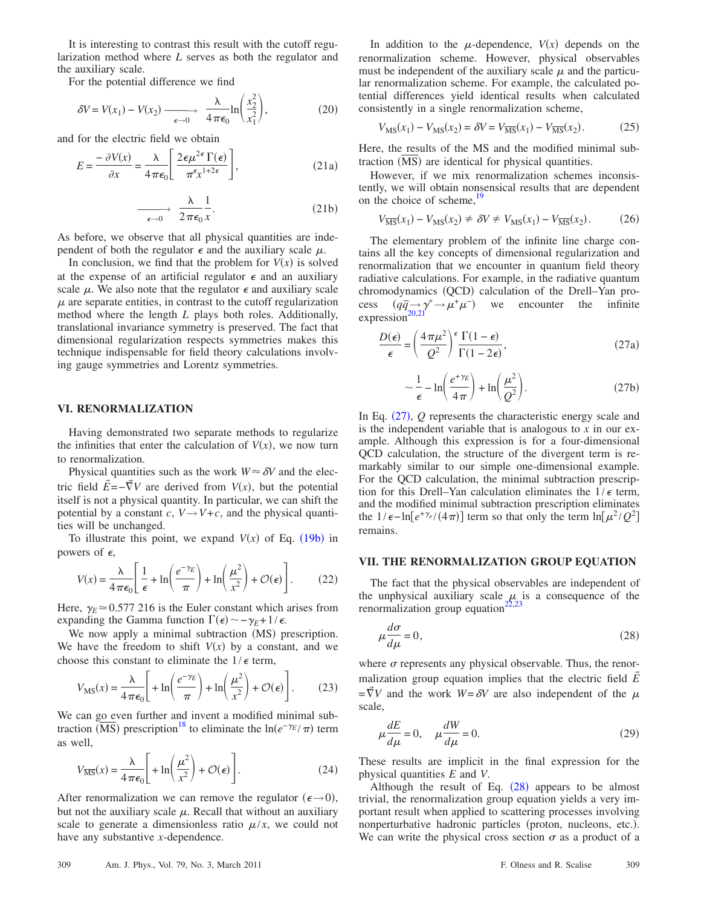It is interesting to contrast this result with the cutoff regularization method where *L* serves as both the regulator and the auxiliary scale.

For the potential difference we find

$$
\delta V = V(x_1) - V(x_2) \xrightarrow[\epsilon \to 0]{} \frac{\lambda}{4\pi\epsilon_0} \ln\left(\frac{x_2^2}{x_1^2}\right),\tag{20}
$$

and for the electric field we obtain

<span id="page-3-2"></span>
$$
E = \frac{-\partial V(x)}{\partial x} = \frac{\lambda}{4\pi\epsilon_0} \left[ \frac{2\epsilon\mu^{2\epsilon}\Gamma(\epsilon)}{\pi^{\epsilon}x^{1+2\epsilon}} \right],
$$
(21a)

$$
\xrightarrow[\epsilon \to 0]{} \frac{\lambda}{2\pi\epsilon_0} \frac{1}{x}.
$$
 (21b)

As before, we observe that all physical quantities are independent of both the regulator  $\epsilon$  and the auxiliary scale  $\mu$ .

In conclusion, we find that the problem for  $V(x)$  is solved at the expense of an artificial regulator  $\epsilon$  and an auxiliary scale  $\mu$ . We also note that the regulator  $\epsilon$  and auxiliary scale  $\mu$  are separate entities, in contrast to the cutoff regularization method where the length *L* plays both roles. Additionally, translational invariance symmetry is preserved. The fact that dimensional regularization respects symmetries makes this technique indispensable for field theory calculations involving gauge symmetries and Lorentz symmetries.

#### **VI. RENORMALIZATION**

Having demonstrated two separate methods to regularize the infinities that enter the calculation of  $V(x)$ , we now turn to renormalization.

Physical quantities such as the work  $W \approx \delta V$  and the electric field  $\vec{E} = -\vec{\nabla}V$  are derived from  $V(x)$ , but the potential itself is not a physical quantity. In particular, we can shift the potential by a constant *c*,  $V \rightarrow V + c$ , and the physical quantities will be unchanged.

To illustrate this point, we expand  $V(x)$  of Eq. ([19b](#page-2-1)) in powers of  $\epsilon$ ,

$$
V(x) = \frac{\lambda}{4\pi\epsilon_0} \left[ \frac{1}{\epsilon} + \ln\left(\frac{e^{-\gamma_E}}{\pi}\right) + \ln\left(\frac{\mu^2}{x^2}\right) + \mathcal{O}(\epsilon) \right].
$$
 (22)

Here,  $\gamma_E \approx 0.577$  216 is the Euler constant which arises from expanding the Gamma function  $\Gamma(\epsilon) \sim -\gamma_E + 1/\epsilon$ .

We now apply a minimal subtraction (MS) prescription. We have the freedom to shift  $V(x)$  by a constant, and we choose this constant to eliminate the  $1/\epsilon$  term,

$$
V_{\text{MS}}(x) = \frac{\lambda}{4\pi\epsilon_0} \left[ + \ln\left(\frac{e^{-\gamma_E}}{\pi}\right) + \ln\left(\frac{\mu^2}{x^2}\right) + \mathcal{O}(\epsilon) \right].
$$
 (23)

We can go even further and invent a modified minimal subtraction  $\overline{\text{ (MS)}}$  prescription<sup>18</sup> to eliminate the ln $(e^{-\gamma_E}/\pi)$  term as well,

$$
V_{\overline{\rm MS}}(x) = \frac{\lambda}{4\pi\epsilon_0} \left[ + \ln\left(\frac{\mu^2}{x^2}\right) + \mathcal{O}(\epsilon) \right].
$$
 (24)

After renormalization we can remove the regulator  $(\epsilon \rightarrow 0)$ , but not the auxiliary scale  $\mu$ . Recall that without an auxiliary scale to generate a dimensionless ratio  $\mu/x$ , we could not have any substantive *x*-dependence.

In addition to the  $\mu$ -dependence,  $V(x)$  depends on the renormalization scheme. However, physical observables must be independent of the auxiliary scale  $\mu$  and the particular renormalization scheme. For example, the calculated potential differences yield identical results when calculated consistently in a single renormalization scheme,

$$
V_{\rm MS}(x_1) - V_{\rm MS}(x_2) = \delta V = V_{\overline{\rm MS}}(x_1) - V_{\overline{\rm MS}}(x_2). \tag{25}
$$

Here, the results of the MS and the modified minimal subtraction (MS) are identical for physical quantities.

However, if we mix renormalization schemes inconsistently, we will obtain nonsensical results that are dependent on the choice of scheme,

$$
V_{\overline{\rm MS}}(x_1) - V_{\overline{\rm MS}}(x_2) \neq \delta V \neq V_{\overline{\rm MS}}(x_1) - V_{\overline{\rm MS}}(x_2). \tag{26}
$$

The elementary problem of the infinite line charge contains all the key concepts of dimensional regularization and renormalization that we encounter in quantum field theory radiative calculations. For example, in the radiative quantum chromodynamics (QCD) calculation of the Drell-Yan process  $(q\bar{q}_{\gamma} \rightarrow \mu^+ \mu^-)$  we encounter the infinite expression<sup>20[,21](#page-5-15)</sup>

<span id="page-3-0"></span>
$$
\frac{D(\epsilon)}{\epsilon} = \left(\frac{4\pi\mu^2}{Q^2}\right)^{\epsilon} \frac{\Gamma(1-\epsilon)}{\Gamma(1-2\epsilon)},\tag{27a}
$$

$$
\sim \frac{1}{\epsilon} - \ln\left(\frac{e^{+\gamma_E}}{4\pi}\right) + \ln\left(\frac{\mu^2}{Q^2}\right). \tag{27b}
$$

In Eq.  $(27)$  $(27)$  $(27)$ ,  $Q$  represents the characteristic energy scale and is the independent variable that is analogous to *x* in our example. Although this expression is for a four-dimensional QCD calculation, the structure of the divergent term is remarkably similar to our simple one-dimensional example. For the QCD calculation, the minimal subtraction prescription for this Drell–Yan calculation eliminates the  $1/\epsilon$  term, and the modified minimal subtraction prescription eliminates the 1/ $\epsilon$ -ln[ $e^{+\gamma_e}/(4\pi)$ ] term so that only the term ln[ $\mu^2/Q^2$ ] remains.

#### **VII. THE RENORMALIZATION GROUP EQUATION**

The fact that the physical observables are independent of the unphysical auxiliary scale  $\mu$  is a consequence of the renormalization group equation $^{22}$ 

<span id="page-3-1"></span>
$$
\mu \frac{d\sigma}{d\mu} = 0,\tag{28}
$$

where  $\sigma$  represents any physical observable. Thus, the renormalization group equation implies that the electric field *E*  $=\vec{\nabla}V$  and the work  $W = \delta V$  are also independent of the  $\mu$ scale,

$$
\mu \frac{dE}{d\mu} = 0, \quad \mu \frac{dW}{d\mu} = 0.
$$
\n(29)

These results are implicit in the final expression for the physical quantities *E* and *V*.

Although the result of Eq.  $(28)$  $(28)$  $(28)$  appears to be almost trivial, the renormalization group equation yields a very important result when applied to scattering processes involving nonperturbative hadronic particles (proton, nucleons, etc.). We can write the physical cross section  $\sigma$  as a product of a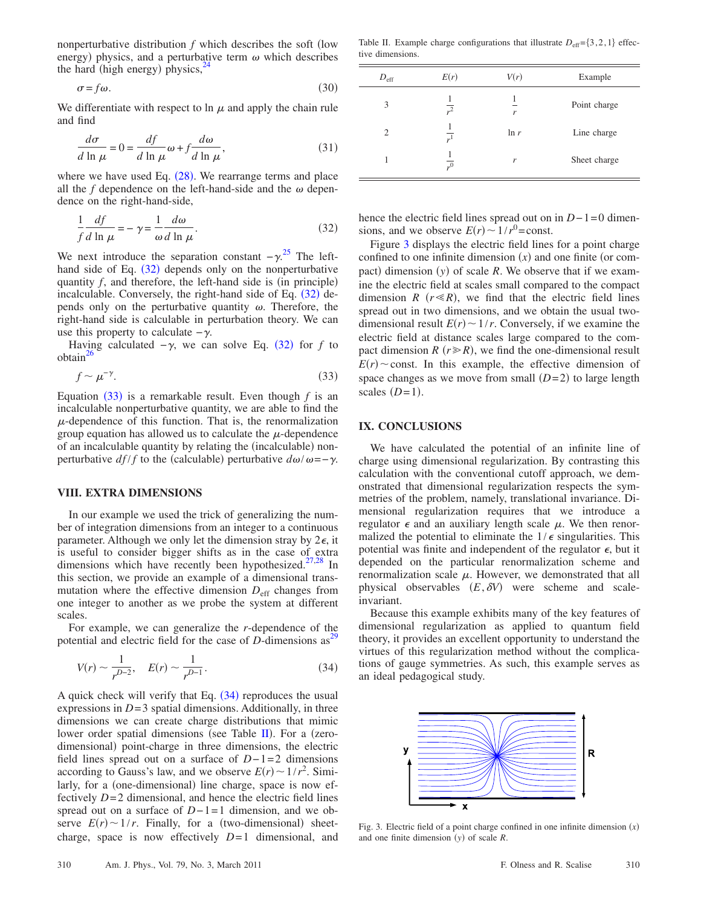nonperturbative distribution  $f$  which describes the soft (low energy) physics, and a perturbative term  $\omega$  which describes the hard (high energy) physics, $^{24}$ 

$$
\sigma = f\omega. \tag{30}
$$

We differentiate with respect to  $\ln \mu$  and apply the chain rule and find

$$
\frac{d\sigma}{d\ln\mu} = 0 = \frac{df}{d\ln\mu}\omega + f\frac{d\omega}{d\ln\mu},
$$
\n(31)

where we have used Eq.  $(28)$  $(28)$  $(28)$ . We rearrange terms and place all the  $f$  dependence on the left-hand-side and the  $\omega$  dependence on the right-hand-side,

<span id="page-4-0"></span>
$$
\frac{1}{f} \frac{df}{d \ln \mu} = -\gamma = \frac{1}{\omega} \frac{d\omega}{d \ln \mu}.
$$
\n(32)

We next introduce the separation constant  $-\gamma^{25}$  $-\gamma^{25}$  $-\gamma^{25}$  The left-hand side of Eq. ([32](#page-4-0)) depends only on the nonperturbative quantity  $f$ , and therefore, the left-hand side is (in principle) incalculable. Conversely, the right-hand side of Eq. ([32](#page-4-0)) depends only on the perturbative quantity  $\omega$ . Therefore, the right-hand side is calculable in perturbation theory. We can use this property to calculate  $-\gamma$ .

Having calculated  $-\gamma$ , we can solve Eq. ([32](#page-4-0)) for *f* to  $obtain<sup>26</sup>$ 

<span id="page-4-1"></span>
$$
f \sim \mu^{-\gamma}.\tag{33}
$$

Equation  $(33)$  $(33)$  $(33)$  is a remarkable result. Even though  $f$  is an incalculable nonperturbative quantity, we are able to find the  $\mu$ -dependence of this function. That is, the renormalization group equation has allowed us to calculate the  $\mu$ -dependence of an incalculable quantity by relating the (incalculable) nonperturbative  $df/f$  to the (calculable) perturbative  $d\omega/\omega = -\gamma$ .

## **VIII. EXTRA DIMENSIONS**

In our example we used the trick of generalizing the number of integration dimensions from an integer to a continuous parameter. Although we only let the dimension stray by  $2\epsilon$ , it is useful to consider bigger shifts as in the case of extra dimensions which have recently been hypothesized.<sup>27,[28](#page-6-6)</sup> In this section, we provide an example of a dimensional transmutation where the effective dimension  $D_{\text{eff}}$  changes from one integer to another as we probe the system at different scales.

<span id="page-4-2"></span>For example, we can generalize the *r*-dependence of the potential and electric field for the case of  $D$ -dimensions as<sup>2</sup>

$$
V(r) \sim \frac{1}{r^{D-2}}, \quad E(r) \sim \frac{1}{r^{D-1}}.
$$
 (34)

A quick check will verify that Eq.  $(34)$  $(34)$  $(34)$  reproduces the usual expressions in  $D=3$  spatial dimensions. Additionally, in three dimensions we can create charge distributions that mimic lower order spatial dimensions (see Table [II](#page-4-3)). For a (zerodimensional) point-charge in three dimensions, the electric field lines spread out on a surface of *D*−1=2 dimensions according to Gauss's law, and we observe  $E(r) \sim 1/r^2$ . Similarly, for a (one-dimensional) line charge, space is now effectively  $D=2$  dimensional, and hence the electric field lines spread out on a surface of *D*−1=1 dimension, and we observe  $E(r) \sim 1/r$ . Finally, for a (two-dimensional) sheetcharge, space is now effectively  $D=1$  dimensional, and

<span id="page-4-3"></span>Table II. Example charge configurations that illustrate  $D_{\text{eff}} = \{3, 2, 1\}$  effective dimensions.

| $D_{\rm eff}$  | E(r)                 | V(r)    | Example      |
|----------------|----------------------|---------|--------------|
| 3              | $\mathbf{r}^2$       | r       | Point charge |
| $\overline{c}$ | $\cdot$ <sup>1</sup> | $\ln r$ | Line charge  |
|                | $\cdot$ <sup>0</sup> | r       | Sheet charge |

hence the electric field lines spread out on in *D*−1=0 dimensions, and we observe  $E(r) \sim 1/r^0 = \text{const.}$ 

Figure [3](#page-4-4) displays the electric field lines for a point charge confined to one infinite dimension  $(x)$  and one finite (or compact) dimension  $(y)$  of scale  $R$ . We observe that if we examine the electric field at scales small compared to the compact dimension *R*  $(r \le R)$ , we find that the electric field lines spread out in two dimensions, and we obtain the usual twodimensional result  $E(r) \sim 1/r$ . Conversely, if we examine the electric field at distance scales large compared to the compact dimension  $R$  ( $r \ge R$ ), we find the one-dimensional result  $E(r)$  const. In this example, the effective dimension of space changes as we move from small  $(D=2)$  to large length scales  $(D=1)$ .

## **IX. CONCLUSIONS**

We have calculated the potential of an infinite line of charge using dimensional regularization. By contrasting this calculation with the conventional cutoff approach, we demonstrated that dimensional regularization respects the symmetries of the problem, namely, translational invariance. Dimensional regularization requires that we introduce a regulator  $\epsilon$  and an auxiliary length scale  $\mu$ . We then renormalized the potential to eliminate the  $1/\epsilon$  singularities. This potential was finite and independent of the regulator  $\epsilon$ , but it depended on the particular renormalization scheme and renormalization scale  $\mu$ . However, we demonstrated that all physical observables  $(E, \delta V)$  were scheme and scaleinvariant.

Because this example exhibits many of the key features of dimensional regularization as applied to quantum field theory, it provides an excellent opportunity to understand the virtues of this regularization method without the complications of gauge symmetries. As such, this example serves as an ideal pedagogical study.

<span id="page-4-4"></span>

Fig. 3. Electric field of a point charge confined in one infinite dimension  $(x)$ and one finite dimension (y) of scale *R*.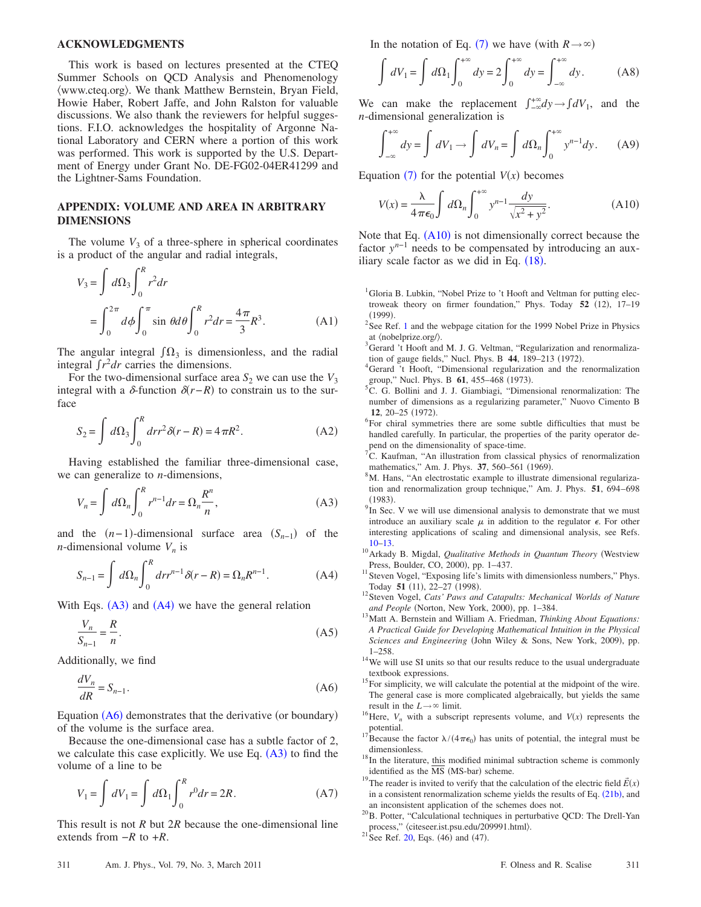#### **ACKNOWLEDGMENTS**

This work is based on lectures presented at the CTEQ Summer Schools on QCD Analysis and Phenomenology www.cteq.org. We thank Matthew Bernstein, Bryan Field, Howie Haber, Robert Jaffe, and John Ralston for valuable discussions. We also thank the reviewers for helpful suggestions. F.I.O. acknowledges the hospitality of Argonne National Laboratory and CERN where a portion of this work was performed. This work is supported by the U.S. Department of Energy under Grant No. DE-FG02-04ER41299 and the Lightner-Sams Foundation.

# **APPENDIX: VOLUME AND AREA IN ARBITRARY DIMENSIONS**

The volume  $V_3$  of a three-sphere in spherical coordinates is a product of the angular and radial integrals,

$$
V_3 = \int d\Omega_3 \int_0^R r^2 dr
$$
  
=  $\int_0^{2\pi} d\phi \int_0^{\pi} \sin \theta d\theta \int_0^R r^2 dr = \frac{4\pi}{3} R^3$ . (A1)

The angular integral  $\int \Omega_3$  is dimensionless, and the radial integral  $\int r^2 dr$  carries the dimensions.

For the two-dimensional surface area  $S_2$  we can use the  $V_3$ integral with a  $\delta$ -function  $\delta(r-R)$  to constrain us to the surface

$$
S_2 = \int d\Omega_3 \int_0^R dr r^2 \delta(r - R) = 4\pi R^2.
$$
 (A2)

<span id="page-5-16"></span>Having established the familiar three-dimensional case, we can generalize to *n*-dimensions,

$$
V_n = \int d\Omega_n \int_0^R r^{n-1} dr = \Omega_n \frac{R^n}{n},
$$
 (A3)

<span id="page-5-17"></span>and the  $(n-1)$ -dimensional surface area  $(S_{n-1})$  of the *n*-dimensional volume  $V_n$  is

$$
S_{n-1} = \int d\Omega_n \int_0^R dr r^{n-1} \delta(r - R) = \Omega_n R^{n-1}.
$$
 (A4)

With Eqs.  $(A3)$  $(A3)$  $(A3)$  and  $(A4)$  $(A4)$  $(A4)$  we have the general relation

$$
\frac{V_n}{S_{n-1}} = \frac{R}{n}.\tag{A5}
$$

<span id="page-5-18"></span>Additionally, we find

$$
\frac{dV_n}{dR} = S_{n-1}.\tag{A6}
$$

Equation ([A6](#page-5-18)) demonstrates that the derivative (or boundary) of the volume is the surface area.

Because the one-dimensional case has a subtle factor of 2, we calculate this case explicitly. We use Eq.  $(A3)$  $(A3)$  $(A3)$  to find the volume of a line to be

$$
V_1 = \int dV_1 = \int d\Omega_1 \int_0^R r^0 dr = 2R. \tag{A7}
$$

This result is not *R* but 2*R* because the one-dimensional line extends from −*R* to +*R*.

In the notation of Eq. ([7](#page-1-4)) we have (with  $R \rightarrow \infty$ )

$$
\int dV_1 = \int d\Omega_1 \int_0^{+\infty} dy = 2 \int_0^{+\infty} dy = \int_{-\infty}^{+\infty} dy.
$$
 (A8)

We can make the replacement  $\int_{-\infty}^{+\infty} dy \rightarrow \int dV_1$ , and the *n*-dimensional generalization is

$$
\int_{-\infty}^{+\infty} dy = \int dV_1 \to \int dV_n = \int d\Omega_n \int_0^{+\infty} y^{n-1} dy. \tag{A9}
$$

<span id="page-5-19"></span>Equation  $(7)$  $(7)$  $(7)$  for the potential  $V(x)$  becomes

$$
V(x) = \frac{\lambda}{4\pi\epsilon_0} \int d\Omega_n \int_0^{+\infty} y^{n-1} \frac{dy}{\sqrt{x^2 + y^2}}.
$$
 (A10)

Note that Eq.  $(A10)$  $(A10)$  $(A10)$  is not dimensionally correct because the factor  $y^{n-1}$  needs to be compensated by introducing an auxiliary scale factor as we did in Eq.  $(18)$  $(18)$  $(18)$ .

- <span id="page-5-0"></span><sup>1</sup>Gloria B. Lubkin, "Nobel Prize to 't Hooft and Veltman for putting electroweak theory on firmer foundation," Phys. Today 52 (12), 17-19  $(1999)$ . ([1](#page-5-0)999).<br><sup>2</sup> See Ref. 1 and the webpage citation for the 1999 Nobel Prize in Physics
- <span id="page-5-1"></span>at  $\langle$ nobelprize.org/ $\rangle$ .
- <span id="page-5-2"></span> $3$ Gerard 't Hooft and M. J. G. Veltman, "Regularization and renormalization of gauge fields," Nucl. Phys. B  $\frac{44}{189-213}$  (1972).
- <sup>4</sup>Gerard 't Hooft, "Dimensional regularization and the renormalization group," Nucl. Phys. B  $61, 455-468$  (1973).
- <span id="page-5-3"></span><sup>5</sup>C. G. Bollini and J. J. Giambiagi, "Dimensional renormalization: The number of dimensions as a regularizing parameter," Nuovo Cimento B **12**, 20–25 (1972).
- <span id="page-5-4"></span> ${}^{6}$ For chiral symmetries there are some subtle difficulties that must be handled carefully. In particular, the properties of the parity operator depend on the dimensionality of space-time.
- <span id="page-5-5"></span> ${}^{7}C$ . Kaufman, "An illustration from classical physics of renormalization mathematics," Am. J. Phys.  $37, 560-561$  (1969).
- <span id="page-5-6"></span><sup>8</sup>M. Hans, "An electrostatic example to illustrate dimensional regularization and renormalization group technique," Am. J. Phys. **51**, 694–698  $(1983)$ .
- <span id="page-5-7"></span>(1983).  $9<sup>9</sup>$ In Sec. V we will use dimensional analysis to demonstrate that we must introduce an auxiliary scale  $\mu$  in addition to the regulator  $\epsilon$ . For other interesting applications of scaling and dimensional analysis, see Refs.
- <span id="page-5-20"></span>[10](#page-5-20)[–13.](#page-5-21) 10Arkady B. Migdal, *Qualitative Methods in Quantum Theory* Westview Press, Boulder, CO, 2000), pp. 1-437.
- $11$  Steven Vogel, "Exposing life's limits with dimensionless numbers," Phys. Today 51 (11), 22-27 (1998)
- <sup>12</sup> Steven Vogel, *Cats' Paws and Catapults: Mechanical Worlds of Nature and People* (Norton, New York, 2000), pp. 1-384.
- <span id="page-5-21"></span><sup>13</sup> Matt A. Bernstein and William A. Friedman, *Thinking About Equations: A Practical Guide for Developing Mathematical Intuition in the Physical* Sciences and Engineering (John Wiley & Sons, New York, 2009), pp.
- <span id="page-5-8"></span> $1-258$ .<br><sup>14</sup>We will use SI units so that our results reduce to the usual undergraduate
- <span id="page-5-9"></span>textbook expressions.  $15$ For simplicity, we will calculate the potential at the midpoint of the wire. The general case is more complicated algebraically, but yields the same
- <span id="page-5-10"></span>result in the *L*→ $\infty$  limit. 16Here, *V<sub>n</sub>* with a subscript represents volume, and *V*(*x*) represents the
- <span id="page-5-11"></span>potential.<br><sup>17</sup>Because the factor  $\lambda/(4\pi\epsilon_0)$  has units of potential, the integral must be
- <span id="page-5-12"></span>dimensionless.<br><sup>18</sup>In the literature, this modified minimal subtraction scheme is commonly identified as the MS (MS-bar) scheme.
- <span id="page-5-13"></span>identified as the MS (MS-bar) scheme.<br><sup>19</sup>The reader is invited to verify that the calculation of the electric field  $\vec{E}(x)$ in a consistent renormalization scheme yields the results of Eq.  $(21b)$  $(21b)$  $(21b)$ , and
- <span id="page-5-14"></span>an inconsistent application of the schemes does not.<br><sup>20</sup>B. Potter, "Calculational techniques in perturbative QCD: The Drell-Yan process," (citeseer.ist.psu.edu/209991.html). process,"  $\langle$  citeseer.ist.psu.edu/209991.html $\rangle$ .<br><sup>21</sup> See Ref. [20,](#page-5-14) Eqs. (46) and (47).
- <span id="page-5-15"></span>